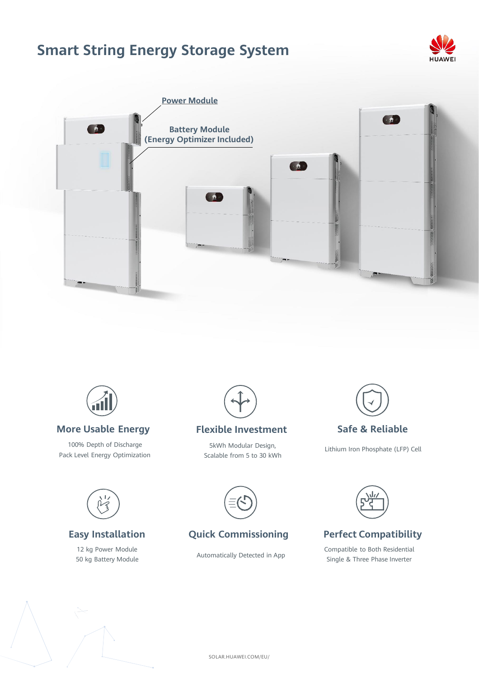# **Smart String Energy Storage System**







### **More Usable Energy**

100% Depth of Discharge Pack Level Energy Optimization



### **Flexible Investment**

5kWh Modular Design, Scalable from 5 to 30 kWh



## **Safe & Reliable**

Lithium Iron Phosphate (LFP) Cell



## **Easy Installation**

12 kg Power Module 50 kg Battery Module



## **Quick Commissioning**

Automatically Detected in App



## **Perfect Compatibility**

Compatible to Both Residential Single & Three Phase Inverter